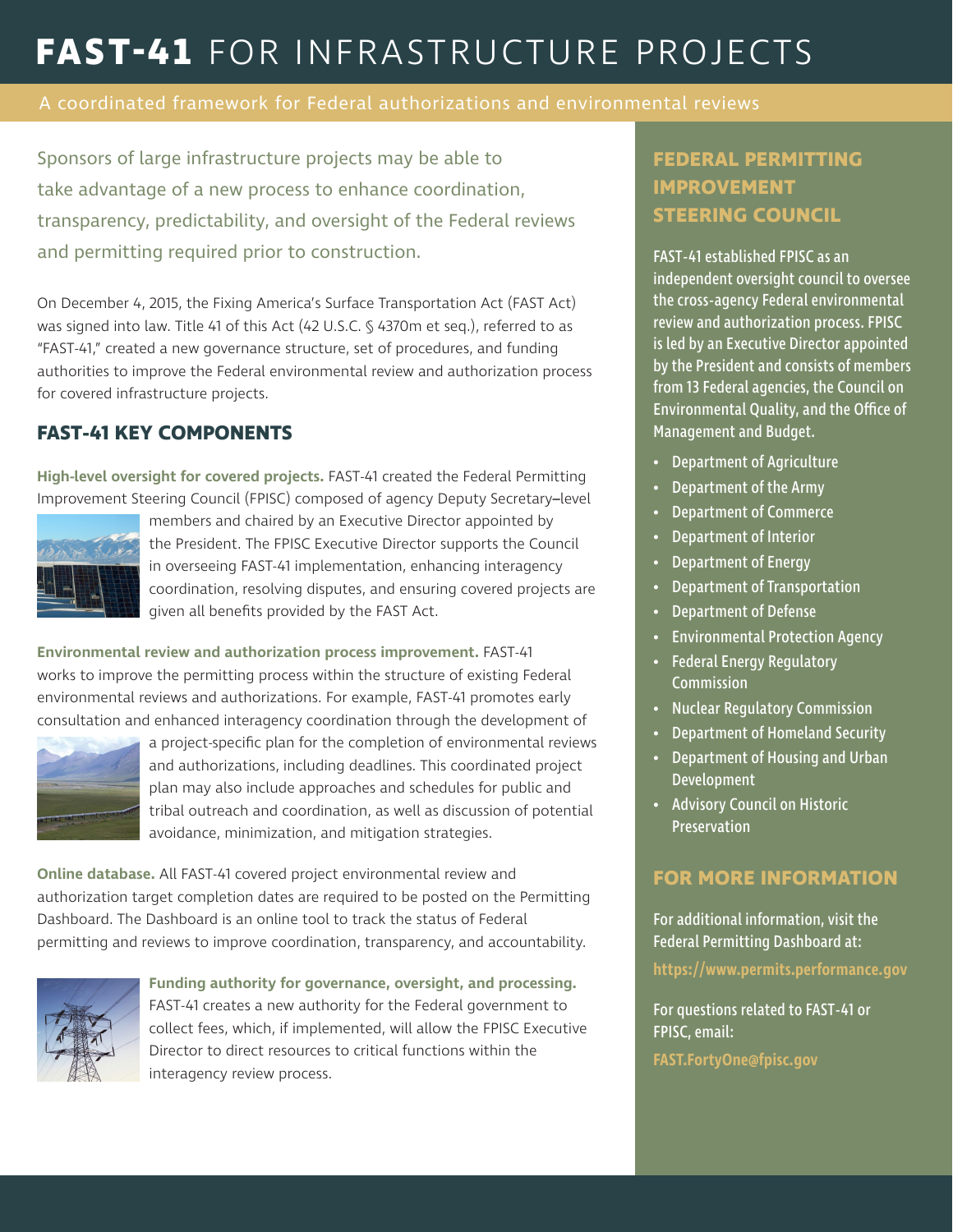# **FAST-41** FOR INFRASTRUCTURE PROJECTS

A coordinated framework for Federal authorizations and environmental reviews

Sponsors of large infrastructure projects may be able to take advantage of a new process to enhance coordination, transparency, predictability, and oversight of the Federal reviews and permitting required prior to construction.

On December 4, 2015, the Fixing America's Surface Transportation Act (FAST Act) was signed into law. Title 41 of this Act (42 U.S.C. § 4370m et seq.), referred to as "FAST-41," created a new governance structure, set of procedures, and funding authorities to improve the Federal environmental review and authorization process for covered infrastructure projects.

#### **FAST-41 KEY COMPONENTS**

**High-level oversight for covered projects.** FAST-41 created the Federal Permitting Improvement Steering Council (FPISC) composed of agency Deputy Secretary**–**level



members and chaired by an Executive Director appointed by the President. The FPISC Executive Director supports the Council in overseeing FAST-41 implementation, enhancing interagency coordination, resolving disputes, and ensuring covered projects are given all benefits provided by the FAST Act.

**Environmental review and authorization process improvement.** FAST-41 works to improve the permitting process within the structure of existing Federal environmental reviews and authorizations. For example, FAST-41 promotes early consultation and enhanced interagency coordination through the development of



a project-specific plan for the completion of environmental reviews and authorizations, including deadlines. This coordinated project plan may also include approaches and schedules for public and tribal outreach and coordination, as well as discussion of potential avoidance, minimization, and mitigation strategies.

**Online database.** All FAST-41 covered project environmental review and authorization target completion dates are required to be posted on the Permitting Dashboard. The Dashboard is an online tool to track the status of Federal permitting and reviews to improve coordination, transparency, and accountability.



**Funding authority for governance, oversight, and processing.** 

FAST-41 creates a new authority for the Federal government to collect fees, which, if implemented, will allow the FPISC Executive Director to direct resources to critical functions within the interagency review process.

## **FEDERAL PERMITTING IMPROVEMENT STEERING COUNCIL**

FAST-41 established FPISC as an independent oversight council to oversee the cross-agency Federal environmental review and authorization process. FPISC is led by an Executive Director appointed by the President and consists of members from 13 Federal agencies, the Council on Environmental Quality, and the Office of Management and Budget.

- Department of Agriculture
- Department of the Army
- Department of Commerce
- Department of Interior
- Department of Energy
- Department of Transportation
- Department of Defense
- Environmental Protection Agency
- Federal Energy Regulatory **Commission**
- Nuclear Regulatory Commission
- Department of Homeland Security
- Department of Housing and Urban Development
- Advisory Council on Historic **Preservation**

### **FOR MORE INFORMATION**

For additional information, visit the Federal Permitting Dashboard at:

**https://www.permits.performance.gov**

For questions related to FAST-41 or FPISC, email:

**FAST.FortyOne@fpisc.gov**